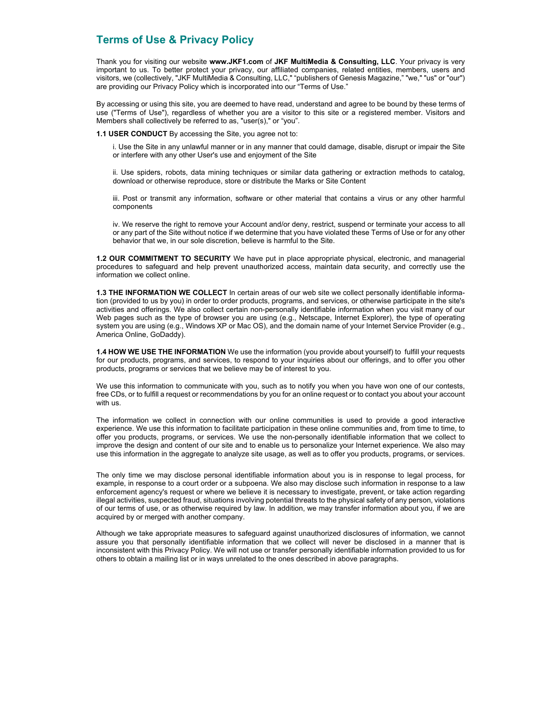# **Terms of Use & Privacy Policy**

Thank you for visiting our website **www.JKF1.com** of**JKF MultiMedia & Consulting, LLC**. Your privacy is very important to us. To better protect your privacy, our affiliated companies, related entities, members, users and visitors, we (collectively, "JKF MultiMedia & Consulting, LLC," "publishers of Genesis Magazine," "we," "us" or "our") are providing our Privacy Policy which is incorporated into our "Terms of Use."

By accessing or using this site, you are deemed to have read, understand and agree to be bound by these terms of use ("Terms of Use"), regardless of whether you are a visitor to this site or a registered member. Visitors and Members shall collectively be referred to as, "user(s)," or "you".

**1.1 USER CONDUCT** By accessing the Site, you agree not to:

i. Use the Site in any unlawful manner or in any manner that could damage, disable, disrupt or impair the Site or interfere with any other User's use and enjoyment of the Site

ii. Use spiders, robots, data mining techniques or similar data gathering or extraction methods to catalog, download or otherwise reproduce, store or distribute the Marks or Site Content

iii. Post or transmit any information, software or other material that contains a virus or any other harmful components

iv. We reserve the right to remove your Account and/or deny, restrict, suspend or terminate your access to all or any part of the Site without notice if we determine that you have violated these Terms of Use or for any other behavior that we, in our sole discretion, believe is harmful to the Site.

1.2 OUR COMMITMENT TO SECURITY We have put in place appropriate physical, electronic, and managerial procedures to safeguard and help prevent unauthorized access, maintain data security, and correctly use the information we collect online.

**1.3THE INFORMATION WE COLLECT**In certain areas of our web site we collect personally identifiable informa tion (provided to us by you) in order to order products, programs, and services, or otherwise participate in the site's activities and offerings. We also collect certain non-personally identifiable information when you visit many of our Web pages such as the type of browser you are using (e.g., Netscape, Internet Explorer), the type of operating system you are using (e.g., Windows XP or Mac OS), and the domain name of your Internet Service Provider (e.g., America Online, GoDaddy).

**1.4HOW WE USE THE INFORMATION**We use the information (you provide about yourself) to fulfill your requests for our products, programs, and services, to respond to your inquiries about our offerings, and to offer you other products, programs or services that we believe may be of interest to you.

We use this information to communicate with you, such as to notify you when you have won one of our contests, free CDs, or to fulfill a request or recommendations by you for an online request or to contact you about your account with us.

The information we collect in connection with our online communities is used to provide a good interactive experience. We use this information to facilitate participation in these online communities and, from time to time, to offer you products, programs, or services. We use the non-personally identifiable information that we collect to improve the design and content of our site and to enable us to personalize your Internet experience. We also may use this information in the aggregate to analyze site usage, as well as to offer you products, programs, or services.

The only time we may disclose personal identifiable information about you is in response to legal process, for example, in response to a court order or a subpoena. We also may disclose such information in response to a law enforcement agency's request or where we believe it is necessary to investigate, prevent, or take action regarding illegal activities, suspected fraud, situations involving potential threats to the physical safety of any person, violations of our terms of use, or as otherwise required by law. In addition, we may transfer information about you, if we are acquired by or merged with another company.

Although we take appropriate measures to safeguard against unauthorized disclosures of information, we cannot assure you that personally identifiable information that we collect will never be disclosed in a manner that is inconsistent with this Privacy Policy. We will not use or transfer personally identifiable information provided to us for others to obtain a mailing list or in ways unrelated to the ones described in above paragraphs.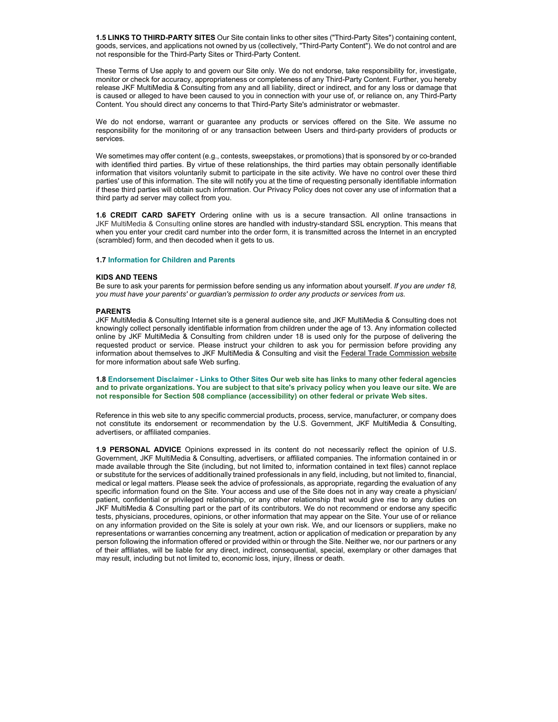**1.5LINKS TO THIRD-PARTY SITES** Our Site contain links to other sites ("Third-Party Sites") containing content, goods, services, and applications not owned by us (collectively, "Third-Party Content"). We do not control and are not responsible for the Third-Party Sites or Third-Party Content.

These Terms of Use apply to and govern our Site only. We do not endorse, take responsibility for, investigate, monitor or check for accuracy, appropriateness or completeness of any Third-Party Content. Further, you hereby release JKF MultiMedia & Consulting from any and all liability, direct or indirect, and for any loss or damage that is caused or alleged to have been caused to you in connection with your use of, or reliance on, any Third-Party Content. You should direct any concerns to that Third-Party Site's administrator or webmaster.

We do not endorse, warrant or guarantee any products or services offered on the Site. We assume no responsibility for the monitoring of or any transaction between Users and third-party providers of products or services.

We sometimes may offer content (e.g., contests, sweepstakes, or promotions) that is sponsored by or co-branded with identified third parties. By virtue of these relationships, the third parties may obtain personally identifiable information that visitors voluntarily submit to participate in the site activity. We have no control over these third parties' use of this information. The site will notify you at the time of requesting personally identifiable information if these third parties will obtain such information. Our Privacy Policy does not cover any use of information that a third party ad server may collect from you.

1.6 CREDIT CARD SAFETY Ordering online with us is a secure transaction. All online transactions in JKF MultiMedia & Consulting online stores are handled with industry-standard SSL encryption. This means that when you enter your credit card number into the order form, it is transmitted across the Internet in an encrypted (scrambled) form, and then decoded when it gets to us.

#### **1.7Information for Children and Parents**

### **KIDS AND TEENS**

Be sure to ask your parents for permission before sending us any information about yourself. *If you are under 18, you must have your parents' or guardian's permission to order any products or services from us.*

### **PARENTS**

JKF MultiMedia & Consulting Internet site is a general audience site, and JKF MultiMedia & Consulting does not knowingly collect personally identifiable information from children under the age of 13. Any information collected online byJKF MultiMedia & Consulting from children under 18 is used only for the purpose of delivering the requested product or service. Please instruct your children to ask you for permission before providing any information about themselves to JKF MultiMedia & Consulting and visit the Federal Trade Commission website for more information about safe Web surfing.

**1.8Endorsement Disclaimer - Links to Other SitesOur web site has links to many other federal agencies and to private organizations. You are subject to that site's privacy policy when you leave our site. We are not responsible for Section 508 compliance (accessibility) on other federal or private Web sites.**

Reference in this web site to any specific commercial products, process, service, manufacturer, or company does not constitute its endorsement or recommendation by the U.S. Government, JKF MultiMedia & Consulting, advertisers, or affiliated companies.

1.9 PERSONAL ADVICE Opinions expressed in its content do not necessarily reflect the opinion of U.S. Government, JKF MultiMedia & Consulting, advertisers, or affiliated companies. The information contained in or made available through the Site (including, but not limited to, information contained in text files) cannot replace or substitute for the services of additionally trained professionals in any field, including, but not limited to, financial, medical or legal matters. Please seek the advice of professionals, as appropriate, regarding the evaluation of any specific information found on the Site. Your access and use of the Site does not in any way create a physician/ patient, confidential or privileged relationship, or any other relationship that would give rise to any duties on JKF MultiMedia & Consulting part or the part of its contributors. We do not recommend or endorse any specific tests, physicians, procedures, opinions, or other information that may appear on the Site. Your use of or reliance on any information provided on the Site is solely at your own risk. We, and our licensors or suppliers, make no representations or warranties concerning any treatment, action or application of medication or preparation by any person following the information offered or provided within or through the Site. Neither we, nor our partners or any of their affiliates, will be liable for any direct, indirect, consequential, special, exemplary or other damages that may result, including but not limited to, economic loss, injury, illness or death.